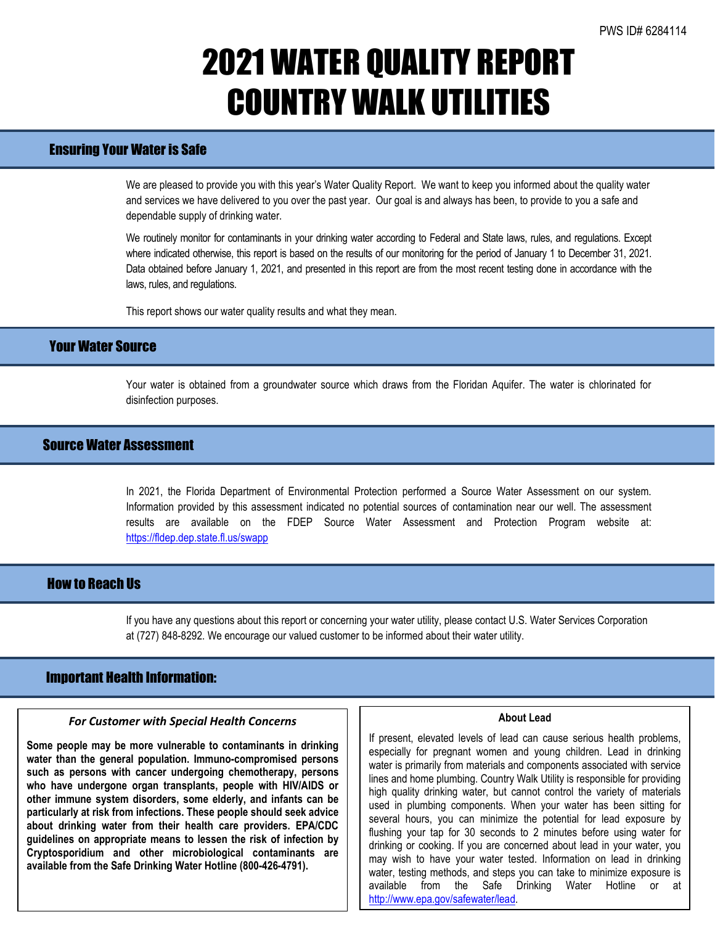# 2021 WATER QUALITY REPORT COUNTRY WALK UTILITIES

# Ensuring Your Water is Safe

We are pleased to provide you with this year's Water Quality Report. We want to keep you informed about the quality water and services we have delivered to you over the past year. Our goal is and always has been, to provide to you a safe and dependable supply of drinking water.

We routinely monitor for contaminants in your drinking water according to Federal and State laws, rules, and regulations. Except where indicated otherwise, this report is based on the results of our monitoring for the period of January 1 to December 31, 2021. Data obtained before January 1, 2021, and presented in this report are from the most recent testing done in accordance with the laws, rules, and regulations.

This report shows our water quality results and what they mean.

## Your Water Source

Your water is obtained from a groundwater source which draws from the Floridan Aquifer. The water is chlorinated for disinfection purposes.

## Source Water Assessment

In 2021, the Florida Department of Environmental Protection performed a Source Water Assessment on our system. Information provided by this assessment indicated no potential sources of contamination near our well. The assessment results are available on the FDEP Source Water Assessment and Protection Program website at: <https://fldep.dep.state.fl.us/swapp>

# How to Reach Us

If you have any questions about this report or concerning your water utility, please contact U.S. Water Services Corporation at (727) 848-8292. We encourage our valued customer to be informed about their water utility.

## Important Health Information:

l

### *For Customer with Special Health Concerns*

**Some people may be more vulnerable to contaminants in drinking water than the general population. Immuno-compromised persons such as persons with cancer undergoing chemotherapy, persons who have undergone organ transplants, people with HIV/AIDS or other immune system disorders, some elderly, and infants can be particularly at risk from infections. These people should seek advice about drinking water from their health care providers. EPA/CDC guidelines on appropriate means to lessen the risk of infection by Cryptosporidium and other microbiological contaminants are available from the Safe Drinking Water Hotline (800-426-4791).**

#### **About Lead**

If present, elevated levels of lead can cause serious health problems, especially for pregnant women and young children. Lead in drinking water is primarily from materials and components associated with service lines and home plumbing. Country Walk Utility is responsible for providing high quality drinking water, but cannot control the variety of materials used in plumbing components. When your water has been sitting for several hours, you can minimize the potential for lead exposure by flushing your tap for 30 seconds to 2 minutes before using water for drinking or cooking. If you are concerned about lead in your water, you may wish to have your water tested. Information on lead in drinking water, testing methods, and steps you can take to minimize exposure is available from the Safe Drinking Water Hotline or at [http://www.epa.gov/safewater/lead.](http://www.epa.gov/safewater/lead)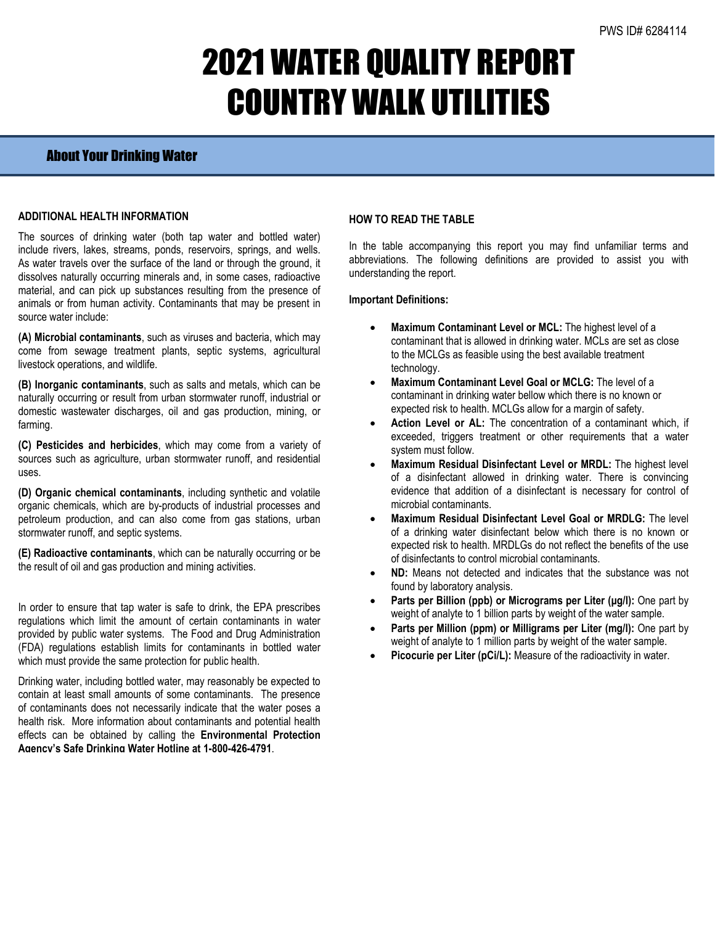# 2021 WATER QUALITY REPORT COUNTRY WALK UTILITIES

## About Your Drinking Water

### **ADDITIONAL HEALTH INFORMATION**

The sources of drinking water (both tap water and bottled water) include rivers, lakes, streams, ponds, reservoirs, springs, and wells. As water travels over the surface of the land or through the ground, it dissolves naturally occurring minerals and, in some cases, radioactive material, and can pick up substances resulting from the presence of animals or from human activity. Contaminants that may be present in source water include:

**(A) Microbial contaminants**, such as viruses and bacteria, which may come from sewage treatment plants, septic systems, agricultural livestock operations, and wildlife.

**(B) Inorganic contaminants**, such as salts and metals, which can be naturally occurring or result from urban stormwater runoff, industrial or domestic wastewater discharges, oil and gas production, mining, or farming.

**(C) Pesticides and herbicides**, which may come from a variety of sources such as agriculture, urban stormwater runoff, and residential uses.

**(D) Organic chemical contaminants**, including synthetic and volatile organic chemicals, which are by-products of industrial processes and petroleum production, and can also come from gas stations, urban stormwater runoff, and septic systems.

**(E) Radioactive contaminants**, which can be naturally occurring or be the result of oil and gas production and mining activities.

In order to ensure that tap water is safe to drink, the EPA prescribes regulations which limit the amount of certain contaminants in water provided by public water systems. The Food and Drug Administration (FDA) regulations establish limits for contaminants in bottled water which must provide the same protection for public health.

Drinking water, including bottled water, may reasonably be expected to contain at least small amounts of some contaminants. The presence of contaminants does not necessarily indicate that the water poses a health risk. More information about contaminants and potential health effects can be obtained by calling the **Environmental Protection Agency's Safe Drinking Water Hotline at 1-800-426-4791**.

## **HOW TO READ THE TABLE**

In the table accompanying this report you may find unfamiliar terms and abbreviations. The following definitions are provided to assist you with understanding the report.

### **Important Definitions:**

- **Maximum Contaminant Level or MCL:** The highest level of a contaminant that is allowed in drinking water. MCLs are set as close to the MCLGs as feasible using the best available treatment technology.
- **Maximum Contaminant Level Goal or MCLG:** The level of a contaminant in drinking water bellow which there is no known or expected risk to health. MCLGs allow for a margin of safety.
- Action Level or AL: The concentration of a contaminant which, if exceeded, triggers treatment or other requirements that a water system must follow.
- **Maximum Residual Disinfectant Level or MRDL:** The highest level of a disinfectant allowed in drinking water. There is convincing evidence that addition of a disinfectant is necessary for control of microbial contaminants.
- **Maximum Residual Disinfectant Level Goal or MRDLG:** The level of a drinking water disinfectant below which there is no known or expected risk to health. MRDLGs do not reflect the benefits of the use of disinfectants to control microbial contaminants.
- **ND:** Means not detected and indicates that the substance was not found by laboratory analysis.
- **Parts per Billion (ppb) or Micrograms per Liter (µg/l):** One part by weight of analyte to 1 billion parts by weight of the water sample.
- **Parts per Million (ppm) or Milligrams per Liter (mg/l):** One part by weight of analyte to 1 million parts by weight of the water sample.
- Picocurie per Liter (pCi/L): Measure of the radioactivity in water.